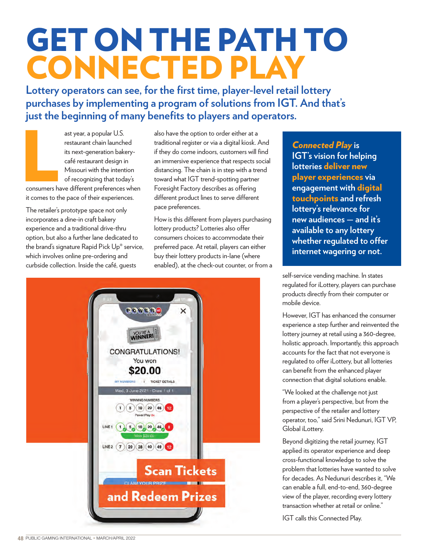## GET ON THE PATH TO CONNECTED PLAY

**Lottery operators can see, for the first time, player-level retail lottery purchases by implementing a program of solutions from IGT. And that's just the beginning of many benefits to players and operators.** 

ast year, a popular U.S.<br>restaurant chain launched<br>its next-generation bakery-<br>café restaurant design in<br>Missouri with the intention<br>of recognizing that today's<br>consumers have different preferences when<br>it comes to the pag ast year, a popular U.S. restaurant chain launched its next-generation bakerycafé restaurant design in Missouri with the intention of recognizing that today's

it comes to the pace of their experiences.

The retailer's prototype space not only incorporates a dine-in craft bakery experience and a traditional drive-thru option, but also a further lane dedicated to the brand's signature Rapid Pick Up® service, which involves online pre-ordering and curbside collection. Inside the café, guests

also have the option to order either at a traditional register or via a digital kiosk. And if they do come indoors, customers will find an immersive experience that respects social distancing. The chain is in step with a trend toward what IGT trend-spotting partner Foresight Factory describes as offering different product lines to serve different pace preferences.

How is this different from players purchasing lottery products? Lotteries also offer consumers choices to accommodate their preferred pace. At retail, players can either buy their lottery products in-lane (where enabled), at the check-out counter, or from a



*Connected Play* **is IGT's vision for helping lotteries** deliver new player experiences **via engagement with** digital touchpoints **and refresh lottery's relevance for new audiences — and it's available to any lottery whether regulated to offer internet wagering or not.**

self-service vending machine. In states regulated for iLottery, players can purchase products directly from their computer or mobile device.

However, IGT has enhanced the consumer experience a step further and reinvented the lottery journey at retail using a 360-degree, holistic approach. Importantly, this approach accounts for the fact that not everyone is regulated to offer iLottery, but all lotteries can benefit from the enhanced player connection that digital solutions enable.

"We looked at the challenge not just from a player's perspective, but from the perspective of the retailer and lottery operator, too," said Srini Nedunuri, IGT VP, Global iLottery.

Beyond digitizing the retail journey, IGT applied its operator experience and deep cross-functional knowledge to solve the problem that lotteries have wanted to solve for decades. As Nedunuri describes it, "We can enable a full, end-to-end, 360-degree view of the player, recording every lottery transaction whether at retail or online."

IGT calls this Connected Play.